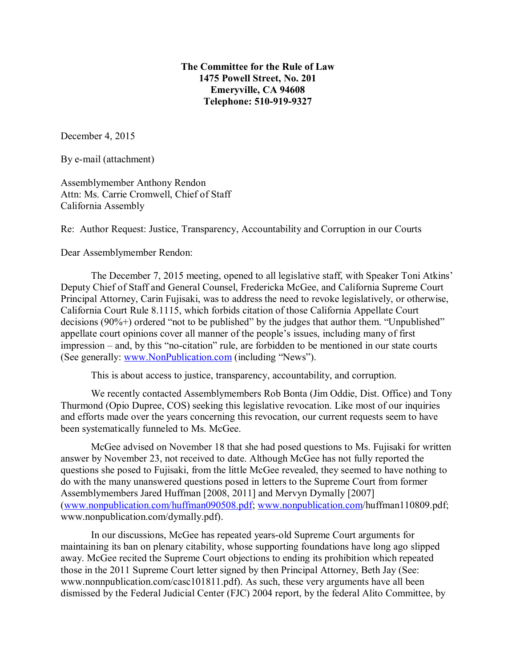## **The Committee for the Rule of Law 1475 Powell Street, No. 201 Emeryville, CA 94608 Telephone: 510-919-9327**

December 4, 2015

By e-mail (attachment)

Assemblymember Anthony Rendon Attn: Ms. Carrie Cromwell, Chief of Staff California Assembly

Re: Author Request: Justice, Transparency, Accountability and Corruption in our Courts

Dear Assemblymember Rendon:

The December 7, 2015 meeting, opened to all legislative staff, with Speaker Toni Atkins' Deputy Chief of Staff and General Counsel, Fredericka McGee, and California Supreme Court Principal Attorney, Carin Fujisaki, was to address the need to revoke legislatively, or otherwise, California Court Rule 8.1115, which forbids citation of those California Appellate Court decisions (90%+) ordered "not to be published" by the judges that author them. "Unpublished" appellate court opinions cover all manner of the people's issues, including many of first impression – and, by this "no-citation" rule, are forbidden to be mentioned in our state courts (See generally: www.NonPublication.com (including "News").

This is about access to justice, transparency, accountability, and corruption.

We recently contacted Assemblymembers Rob Bonta (Jim Oddie, Dist. Office) and Tony Thurmond (Opio Dupree, COS) seeking this legislative revocation. Like most of our inquiries and efforts made over the years concerning this revocation, our current requests seem to have been systematically funneled to Ms. McGee.

McGee advised on November 18 that she had posed questions to Ms. Fujisaki for written answer by November 23, not received to date. Although McGee has not fully reported the questions she posed to Fujisaki, from the little McGee revealed, they seemed to have nothing to do with the many unanswered questions posed in letters to the Supreme Court from former Assemblymembers Jared Huffman [2008, 2011] and Mervyn Dymally [2007] (www.nonpublication.com/huffman090508.pdf; www.nonpublication.com/huffman110809.pdf; www.nonpublication.com/dymally.pdf).

In our discussions, McGee has repeated years-old Supreme Court arguments for maintaining its ban on plenary citability, whose supporting foundations have long ago slipped away. McGee recited the Supreme Court objections to ending its prohibition which repeated those in the 2011 Supreme Court letter signed by then Principal Attorney, Beth Jay (See: www.nonnpublication.com/casc101811.pdf). As such, these very arguments have all been dismissed by the Federal Judicial Center (FJC) 2004 report, by the federal Alito Committee, by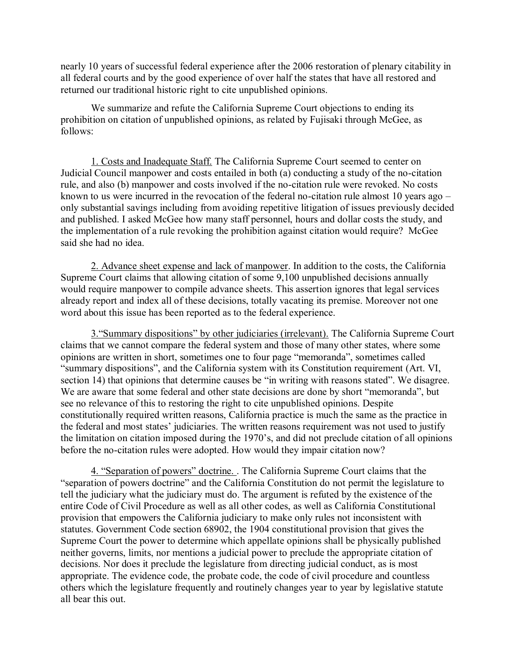nearly 10 years of successful federal experience after the 2006 restoration of plenary citability in all federal courts and by the good experience of over half the states that have all restored and returned our traditional historic right to cite unpublished opinions.

We summarize and refute the California Supreme Court objections to ending its prohibition on citation of unpublished opinions, as related by Fujisaki through McGee, as follows:

1. Costs and Inadequate Staff. The California Supreme Court seemed to center on Judicial Council manpower and costs entailed in both (a) conducting a study of the no-citation rule, and also (b) manpower and costs involved if the no-citation rule were revoked. No costs known to us were incurred in the revocation of the federal no-citation rule almost 10 years ago – only substantial savings including from avoiding repetitive litigation of issues previously decided and published. I asked McGee how many staff personnel, hours and dollar costs the study, and the implementation of a rule revoking the prohibition against citation would require? McGee said she had no idea.

2. Advance sheet expense and lack of manpower. In addition to the costs, the California Supreme Court claims that allowing citation of some 9,100 unpublished decisions annually would require manpower to compile advance sheets. This assertion ignores that legal services already report and index all of these decisions, totally vacating its premise. Moreover not one word about this issue has been reported as to the federal experience.

3."Summary dispositions" by other judiciaries (irrelevant). The California Supreme Court claims that we cannot compare the federal system and those of many other states, where some opinions are written in short, sometimes one to four page "memoranda", sometimes called "summary dispositions", and the California system with its Constitution requirement (Art. VI, section 14) that opinions that determine causes be "in writing with reasons stated". We disagree. We are aware that some federal and other state decisions are done by short "memoranda", but see no relevance of this to restoring the right to cite unpublished opinions. Despite constitutionally required written reasons, California practice is much the same as the practice in the federal and most states' judiciaries. The written reasons requirement was not used to justify the limitation on citation imposed during the 1970's, and did not preclude citation of all opinions before the no-citation rules were adopted. How would they impair citation now?

4. "Separation of powers" doctrine. . The California Supreme Court claims that the "separation of powers doctrine" and the California Constitution do not permit the legislature to tell the judiciary what the judiciary must do. The argument is refuted by the existence of the entire Code of Civil Procedure as well as all other codes, as well as California Constitutional provision that empowers the California judiciary to make only rules not inconsistent with statutes. Government Code section 68902, the 1904 constitutional provision that gives the Supreme Court the power to determine which appellate opinions shall be physically published neither governs, limits, nor mentions a judicial power to preclude the appropriate citation of decisions. Nor does it preclude the legislature from directing judicial conduct, as is most appropriate. The evidence code, the probate code, the code of civil procedure and countless others which the legislature frequently and routinely changes year to year by legislative statute all bear this out.